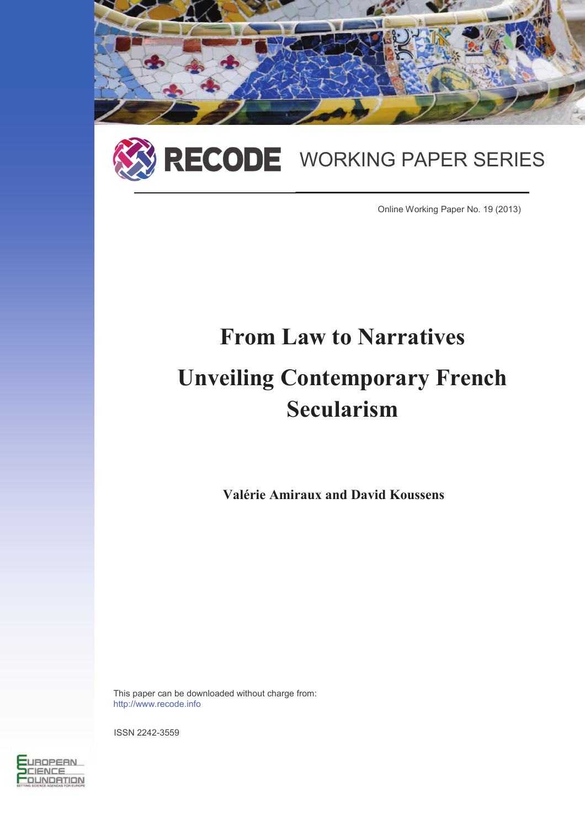



Online Working Paper No. 19 (2013)

# **From Law to Narratives Unveiling Contemporary French Secularism**

**Valérie Amiraux and David Koussens**

This paper can be downloaded without charge from: http://www.recode.info

ISSN 2242-3559

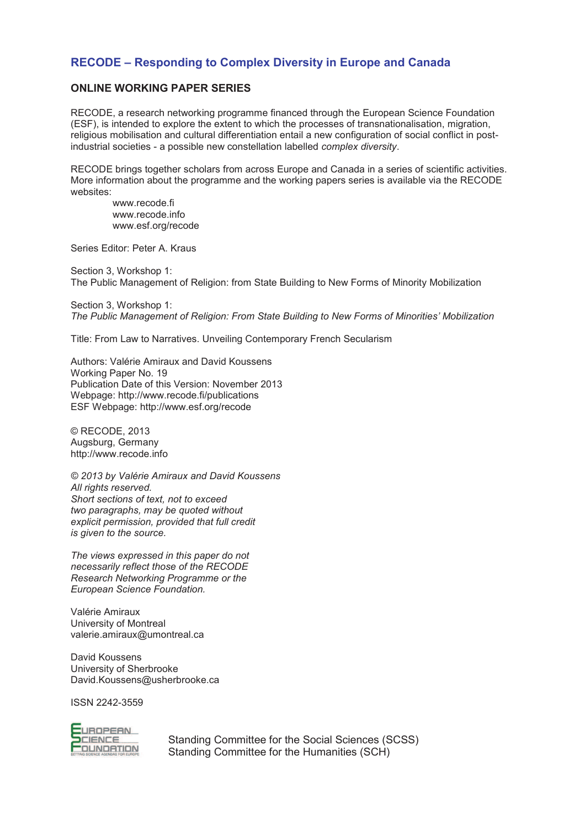### **RECODE – Responding to Complex Diversity in Europe and Canada**

#### **ONLINE WORKING PAPER SERIES**

RECODE, a research networking programme financed through the European Science Foundation (ESF), is intended to explore the extent to which the processes of transnationalisation, migration, religious mobilisation and cultural differentiation entail a new configuration of social conflict in postindustrial societies - a possible new constellation labelled *complex diversity*.

RECODE brings together scholars from across Europe and Canada in a series of scientific activities. More information about the programme and the working papers series is available via the RECODE websites:

www.recode.fi www.recode.info www.esf.org/recode

Series Editor: Peter A. Kraus

Section 3, Workshop 1: The Public Management of Religion: from State Building to New Forms of Minority Mobilization

Section 3, Workshop 1: *The Public Management of Religion: From State Building to New Forms of Minorities' Mobilization*

Title: From Law to Narratives. Unveiling Contemporary French Secularism

Authors: Valérie Amiraux and David Koussens Working Paper No. 19 Publication Date of this Version: November 2013 Webpage: http://www.recode.fi/publications ESF Webpage: http://www.esf.org/recode

© RECODE, 2013 Augsburg, Germany http://www.recode.info

*© 2013 by Valérie Amiraux and David Koussens All rights reserved. Short sections of text, not to exceed two paragraphs, may be quoted without explicit permission, provided that full credit is given to the source.* 

*The views expressed in this paper do not necessarily reflect those of the RECODE Research Networking Programme or the European Science Foundation.* 

Valérie Amiraux University of Montreal valerie.amiraux@umontreal.ca

David Koussens University of Sherbrooke David.Koussens@usherbrooke.ca

ISSN 2242-3559



Standing Committee for the Social Sciences (SCSS) Standing Committee for the Humanities (SCH)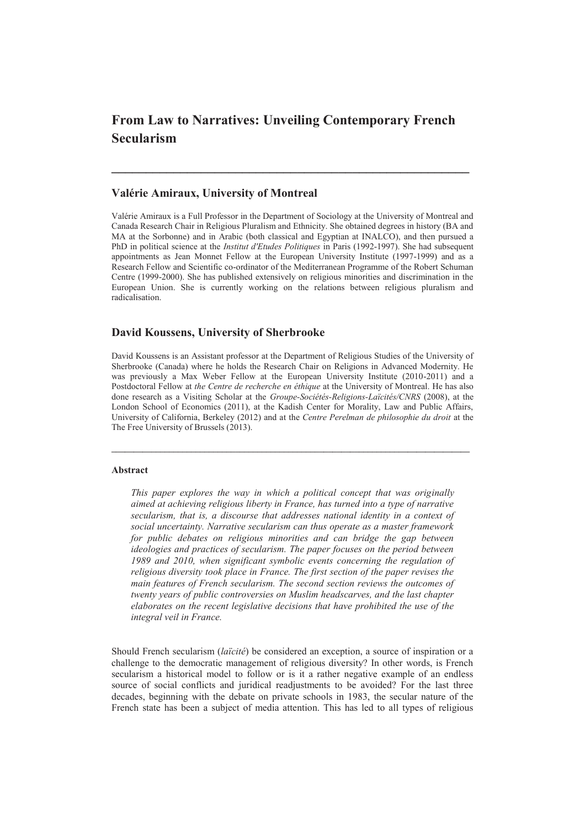## **From Law to Narratives: Unveiling Contemporary French Secularism**

**\_\_\_\_\_\_\_\_\_\_\_\_\_\_\_\_\_\_\_\_\_\_\_\_\_\_\_\_\_\_\_\_\_\_\_\_\_\_\_\_\_\_\_\_\_\_\_\_\_\_\_\_** 

#### **Valérie Amiraux, University of Montreal**

Valérie Amiraux is a Full Professor in the Department of Sociology at the University of Montreal and Canada Research Chair in Religious Pluralism and Ethnicity. She obtained degrees in history (BA and MA at the Sorbonne) and in Arabic (both classical and Egyptian at INALCO), and then pursued a PhD in political science at the *Institut d'Etudes Politiques* in Paris (1992-1997). She had subsequent appointments as Jean Monnet Fellow at the European University Institute (1997-1999) and as a Research Fellow and Scientific co-ordinator of the Mediterranean Programme of the Robert Schuman Centre (1999-2000). She has published extensively on religious minorities and discrimination in the European Union. She is currently working on the relations between religious pluralism and radicalisation.

#### **David Koussens, University of Sherbrooke**

David Koussens is an Assistant professor at the Department of Religious Studies of the University of Sherbrooke (Canada) where he holds the Research Chair on Religions in Advanced Modernity. He was previously a Max Weber Fellow at the European University Institute (2010-2011) and a Postdoctoral Fellow at *the Centre de recherche en éthique* at the University of Montreal. He has also done research as a Visiting Scholar at the *Groupe-Sociétés-Religions-Laïcités/CNRS* (2008), at the London School of Economics (2011), at the Kadish Center for Morality, Law and Public Affairs, University of California, Berkeley (2012) and at the *Centre Perelman de philosophie du droit* at the The Free University of Brussels (2013).

**\_\_\_\_\_\_\_\_\_\_\_\_\_\_\_\_\_\_\_\_\_\_\_\_\_\_\_\_\_\_\_\_\_\_\_\_\_\_\_\_\_\_\_\_\_\_\_\_\_\_\_\_\_\_\_\_\_\_\_\_\_\_\_\_\_\_\_\_\_\_\_\_\_\_\_\_\_\_\_\_\_** 

#### **Abstract**

*This paper explores the way in which a political concept that was originally aimed at achieving religious liberty in France, has turned into a type of narrative secularism, that is, a discourse that addresses national identity in a context of social uncertainty. Narrative secularism can thus operate as a master framework for public debates on religious minorities and can bridge the gap between ideologies and practices of secularism. The paper focuses on the period between 1989 and 2010, when significant symbolic events concerning the regulation of religious diversity took place in France. The first section of the paper revises the main features of French secularism. The second section reviews the outcomes of twenty years of public controversies on Muslim headscarves, and the last chapter elaborates on the recent legislative decisions that have prohibited the use of the integral veil in France.* 

Should French secularism (*laïcité*) be considered an exception, a source of inspiration or a challenge to the democratic management of religious diversity? In other words, is French secularism a historical model to follow or is it a rather negative example of an endless source of social conflicts and juridical readjustments to be avoided? For the last three decades, beginning with the debate on private schools in 1983, the secular nature of the French state has been a subject of media attention. This has led to all types of religious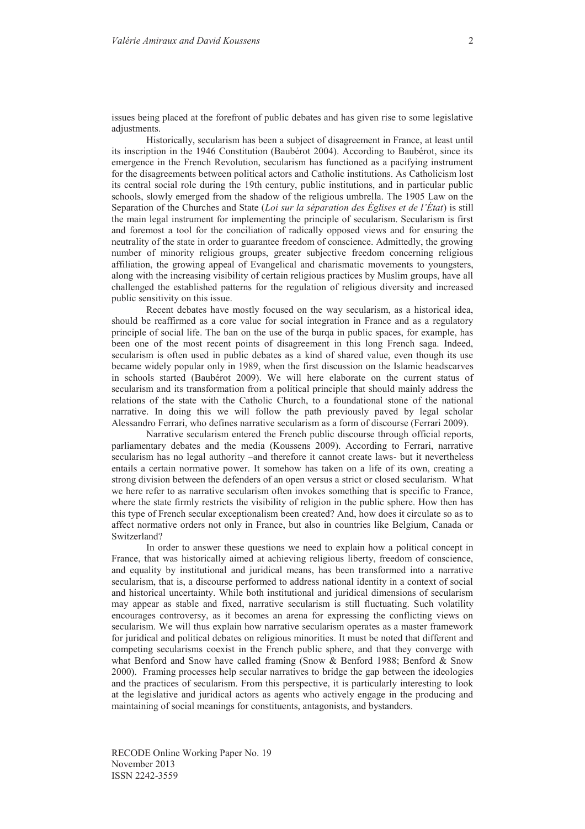issues being placed at the forefront of public debates and has given rise to some legislative adjustments.

Historically, secularism has been a subject of disagreement in France, at least until its inscription in the 1946 Constitution (Baubérot 2004). According to Baubérot, since its emergence in the French Revolution, secularism has functioned as a pacifying instrument for the disagreements between political actors and Catholic institutions. As Catholicism lost its central social role during the 19th century, public institutions, and in particular public schools, slowly emerged from the shadow of the religious umbrella. The 1905 Law on the Separation of the Churches and State (*Loi sur la séparation des Églises et de l'État*) is still the main legal instrument for implementing the principle of secularism. Secularism is first and foremost a tool for the conciliation of radically opposed views and for ensuring the neutrality of the state in order to guarantee freedom of conscience. Admittedly, the growing number of minority religious groups, greater subjective freedom concerning religious affiliation, the growing appeal of Evangelical and charismatic movements to youngsters, along with the increasing visibility of certain religious practices by Muslim groups, have all challenged the established patterns for the regulation of religious diversity and increased public sensitivity on this issue.

Recent debates have mostly focused on the way secularism, as a historical idea, should be reaffirmed as a core value for social integration in France and as a regulatory principle of social life. The ban on the use of the burqa in public spaces, for example, has been one of the most recent points of disagreement in this long French saga. Indeed, secularism is often used in public debates as a kind of shared value, even though its use became widely popular only in 1989, when the first discussion on the Islamic headscarves in schools started (Baubérot 2009). We will here elaborate on the current status of secularism and its transformation from a political principle that should mainly address the relations of the state with the Catholic Church, to a foundational stone of the national narrative. In doing this we will follow the path previously paved by legal scholar Alessandro Ferrari, who defines narrative secularism as a form of discourse (Ferrari 2009).

Narrative secularism entered the French public discourse through official reports, parliamentary debates and the media (Koussens 2009). According to Ferrari, narrative secularism has no legal authority –and therefore it cannot create laws- but it nevertheless entails a certain normative power. It somehow has taken on a life of its own, creating a strong division between the defenders of an open versus a strict or closed secularism. What we here refer to as narrative secularism often invokes something that is specific to France, where the state firmly restricts the visibility of religion in the public sphere. How then has this type of French secular exceptionalism been created? And, how does it circulate so as to affect normative orders not only in France, but also in countries like Belgium, Canada or Switzerland?

In order to answer these questions we need to explain how a political concept in France, that was historically aimed at achieving religious liberty, freedom of conscience, and equality by institutional and juridical means, has been transformed into a narrative secularism, that is, a discourse performed to address national identity in a context of social and historical uncertainty. While both institutional and juridical dimensions of secularism may appear as stable and fixed, narrative secularism is still fluctuating. Such volatility encourages controversy, as it becomes an arena for expressing the conflicting views on secularism. We will thus explain how narrative secularism operates as a master framework for juridical and political debates on religious minorities. It must be noted that different and competing secularisms coexist in the French public sphere, and that they converge with what Benford and Snow have called framing (Snow & Benford 1988; Benford & Snow 2000). Framing processes help secular narratives to bridge the gap between the ideologies and the practices of secularism. From this perspective, it is particularly interesting to look at the legislative and juridical actors as agents who actively engage in the producing and maintaining of social meanings for constituents, antagonists, and bystanders.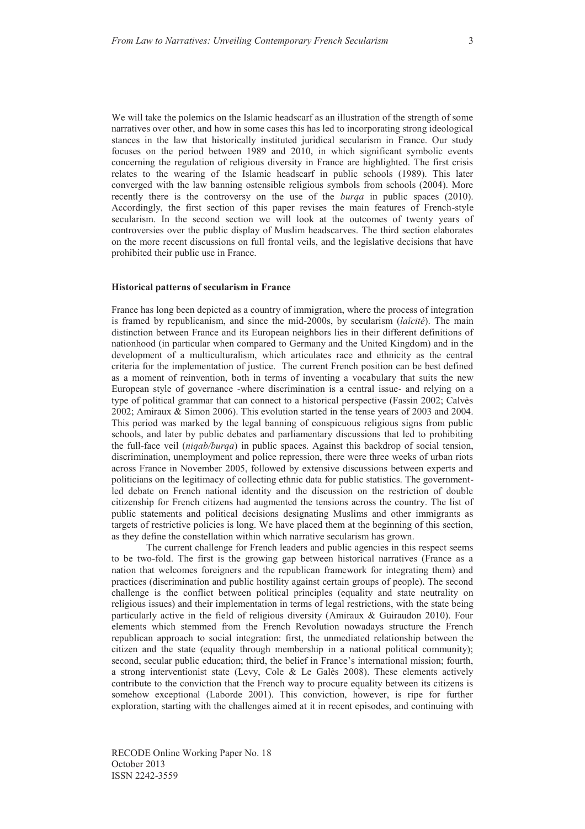We will take the polemics on the Islamic headscarf as an illustration of the strength of some narratives over other, and how in some cases this has led to incorporating strong ideological stances in the law that historically instituted juridical secularism in France. Our study focuses on the period between 1989 and 2010, in which significant symbolic events concerning the regulation of religious diversity in France are highlighted. The first crisis relates to the wearing of the Islamic headscarf in public schools (1989). This later converged with the law banning ostensible religious symbols from schools (2004). More recently there is the controversy on the use of the *burqa* in public spaces (2010). Accordingly, the first section of this paper revises the main features of French-style secularism. In the second section we will look at the outcomes of twenty years of controversies over the public display of Muslim headscarves. The third section elaborates on the more recent discussions on full frontal veils, and the legislative decisions that have prohibited their public use in France.

#### **Historical patterns of secularism in France**

France has long been depicted as a country of immigration, where the process of integration is framed by republicanism, and since the mid-2000s, by secularism (*laïcité*). The main distinction between France and its European neighbors lies in their different definitions of nationhood (in particular when compared to Germany and the United Kingdom) and in the development of a multiculturalism, which articulates race and ethnicity as the central criteria for the implementation of justice. The current French position can be best defined as a moment of reinvention, both in terms of inventing a vocabulary that suits the new European style of governance -where discrimination is a central issue- and relying on a type of political grammar that can connect to a historical perspective (Fassin 2002; Calvès 2002; Amiraux & Simon 2006). This evolution started in the tense years of 2003 and 2004. This period was marked by the legal banning of conspicuous religious signs from public schools, and later by public debates and parliamentary discussions that led to prohibiting the full-face veil (*niqab/burqa*) in public spaces. Against this backdrop of social tension, discrimination, unemployment and police repression, there were three weeks of urban riots across France in November 2005, followed by extensive discussions between experts and politicians on the legitimacy of collecting ethnic data for public statistics. The governmentled debate on French national identity and the discussion on the restriction of double citizenship for French citizens had augmented the tensions across the country. The list of public statements and political decisions designating Muslims and other immigrants as targets of restrictive policies is long. We have placed them at the beginning of this section, as they define the constellation within which narrative secularism has grown.

The current challenge for French leaders and public agencies in this respect seems to be two-fold. The first is the growing gap between historical narratives (France as a nation that welcomes foreigners and the republican framework for integrating them) and practices (discrimination and public hostility against certain groups of people). The second challenge is the conflict between political principles (equality and state neutrality on religious issues) and their implementation in terms of legal restrictions, with the state being particularly active in the field of religious diversity (Amiraux & Guiraudon 2010). Four elements which stemmed from the French Revolution nowadays structure the French republican approach to social integration: first, the unmediated relationship between the citizen and the state (equality through membership in a national political community); second, secular public education; third, the belief in France's international mission; fourth, a strong interventionist state (Levy, Cole & Le Galès 2008). These elements actively contribute to the conviction that the French way to procure equality between its citizens is somehow exceptional (Laborde 2001). This conviction, however, is ripe for further exploration, starting with the challenges aimed at it in recent episodes, and continuing with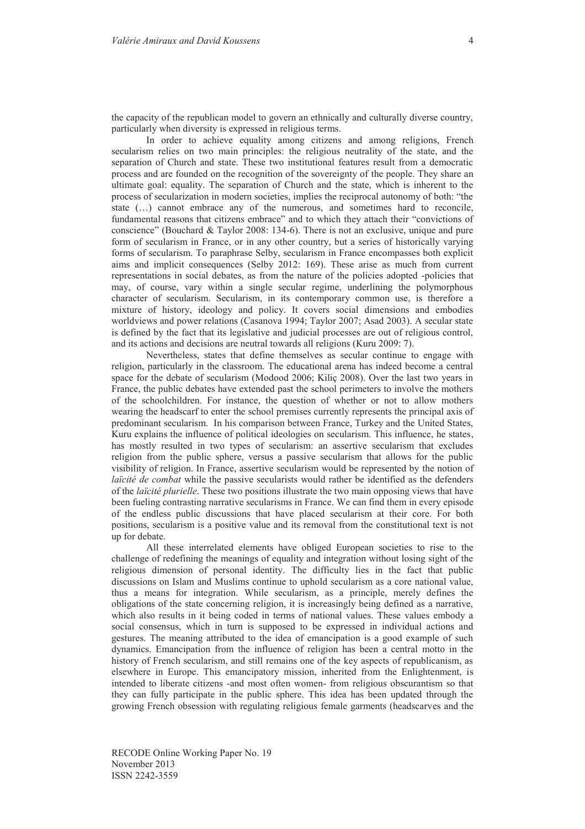the capacity of the republican model to govern an ethnically and culturally diverse country, particularly when diversity is expressed in religious terms.

In order to achieve equality among citizens and among religions, French secularism relies on two main principles: the religious neutrality of the state, and the separation of Church and state. These two institutional features result from a democratic process and are founded on the recognition of the sovereignty of the people. They share an ultimate goal: equality. The separation of Church and the state, which is inherent to the process of secularization in modern societies, implies the reciprocal autonomy of both: "the state (…) cannot embrace any of the numerous, and sometimes hard to reconcile, fundamental reasons that citizens embrace" and to which they attach their "convictions of conscience" (Bouchard & Taylor 2008: 134-6). There is not an exclusive, unique and pure form of secularism in France, or in any other country, but a series of historically varying forms of secularism. To paraphrase Selby, secularism in France encompasses both explicit aims and implicit consequences (Selby 2012: 169). These arise as much from current representations in social debates, as from the nature of the policies adopted -policies that may, of course, vary within a single secular regime, underlining the polymorphous character of secularism. Secularism, in its contemporary common use, is therefore a mixture of history, ideology and policy. It covers social dimensions and embodies worldviews and power relations (Casanova 1994; Taylor 2007; Asad 2003). A secular state is defined by the fact that its legislative and judicial processes are out of religious control, and its actions and decisions are neutral towards all religions (Kuru 2009: 7).

Nevertheless, states that define themselves as secular continue to engage with religion, particularly in the classroom. The educational arena has indeed become a central space for the debate of secularism (Modood 2006; Kiliç 2008). Over the last two years in France, the public debates have extended past the school perimeters to involve the mothers of the schoolchildren. For instance, the question of whether or not to allow mothers wearing the headscarf to enter the school premises currently represents the principal axis of predominant secularism. In his comparison between France, Turkey and the United States, Kuru explains the influence of political ideologies on secularism. This influence, he states, has mostly resulted in two types of secularism: an assertive secularism that excludes religion from the public sphere, versus a passive secularism that allows for the public visibility of religion. In France, assertive secularism would be represented by the notion of *laïcité de combat* while the passive secularists would rather be identified as the defenders of the *laïcité plurielle*. These two positions illustrate the two main opposing views that have been fueling contrasting narrative secularisms in France. We can find them in every episode of the endless public discussions that have placed secularism at their core. For both positions, secularism is a positive value and its removal from the constitutional text is not up for debate.

All these interrelated elements have obliged European societies to rise to the challenge of redefining the meanings of equality and integration without losing sight of the religious dimension of personal identity. The difficulty lies in the fact that public discussions on Islam and Muslims continue to uphold secularism as a core national value, thus a means for integration. While secularism, as a principle, merely defines the obligations of the state concerning religion, it is increasingly being defined as a narrative, which also results in it being coded in terms of national values. These values embody a social consensus, which in turn is supposed to be expressed in individual actions and gestures. The meaning attributed to the idea of emancipation is a good example of such dynamics. Emancipation from the influence of religion has been a central motto in the history of French secularism, and still remains one of the key aspects of republicanism, as elsewhere in Europe. This emancipatory mission, inherited from the Enlightenment, is intended to liberate citizens -and most often women- from religious obscurantism so that they can fully participate in the public sphere. This idea has been updated through the growing French obsession with regulating religious female garments (headscarves and the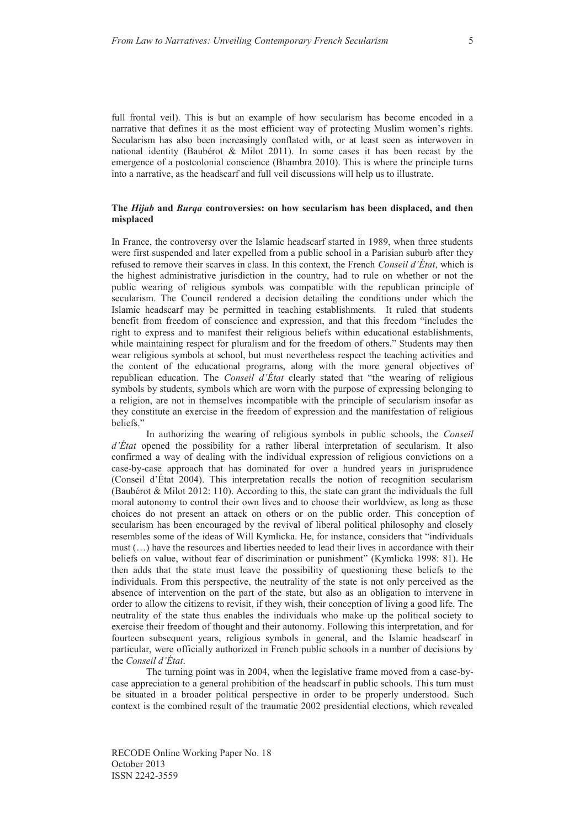full frontal veil). This is but an example of how secularism has become encoded in a narrative that defines it as the most efficient way of protecting Muslim women's rights. Secularism has also been increasingly conflated with, or at least seen as interwoven in national identity (Baubérot & Milot 2011). In some cases it has been recast by the emergence of a postcolonial conscience (Bhambra 2010). This is where the principle turns into a narrative, as the headscarf and full veil discussions will help us to illustrate.

#### **The** *Hijab* **and** *Burqa* **controversies: on how secularism has been displaced, and then misplaced**

In France, the controversy over the Islamic headscarf started in 1989, when three students were first suspended and later expelled from a public school in a Parisian suburb after they refused to remove their scarves in class. In this context, the French *Conseil d'État*, which is the highest administrative jurisdiction in the country, had to rule on whether or not the public wearing of religious symbols was compatible with the republican principle of secularism. The Council rendered a decision detailing the conditions under which the Islamic headscarf may be permitted in teaching establishments. It ruled that students benefit from freedom of conscience and expression, and that this freedom "includes the right to express and to manifest their religious beliefs within educational establishments, while maintaining respect for pluralism and for the freedom of others." Students may then wear religious symbols at school, but must nevertheless respect the teaching activities and the content of the educational programs, along with the more general objectives of republican education. The *Conseil d'État* clearly stated that "the wearing of religious symbols by students, symbols which are worn with the purpose of expressing belonging to a religion, are not in themselves incompatible with the principle of secularism insofar as they constitute an exercise in the freedom of expression and the manifestation of religious beliefs."

In authorizing the wearing of religious symbols in public schools, the *Conseil d'État* opened the possibility for a rather liberal interpretation of secularism. It also confirmed a way of dealing with the individual expression of religious convictions on a case-by-case approach that has dominated for over a hundred years in jurisprudence (Conseil d'État 2004). This interpretation recalls the notion of recognition secularism (Baubérot & Milot 2012: 110). According to this, the state can grant the individuals the full moral autonomy to control their own lives and to choose their worldview, as long as these choices do not present an attack on others or on the public order. This conception of secularism has been encouraged by the revival of liberal political philosophy and closely resembles some of the ideas of Will Kymlicka. He, for instance, considers that "individuals must (…) have the resources and liberties needed to lead their lives in accordance with their beliefs on value, without fear of discrimination or punishment" (Kymlicka 1998: 81). He then adds that the state must leave the possibility of questioning these beliefs to the individuals. From this perspective, the neutrality of the state is not only perceived as the absence of intervention on the part of the state, but also as an obligation to intervene in order to allow the citizens to revisit, if they wish, their conception of living a good life. The neutrality of the state thus enables the individuals who make up the political society to exercise their freedom of thought and their autonomy. Following this interpretation, and for fourteen subsequent years, religious symbols in general, and the Islamic headscarf in particular, were officially authorized in French public schools in a number of decisions by the *Conseil d'État*.

The turning point was in 2004, when the legislative frame moved from a case-bycase appreciation to a general prohibition of the headscarf in public schools. This turn must be situated in a broader political perspective in order to be properly understood. Such context is the combined result of the traumatic 2002 presidential elections, which revealed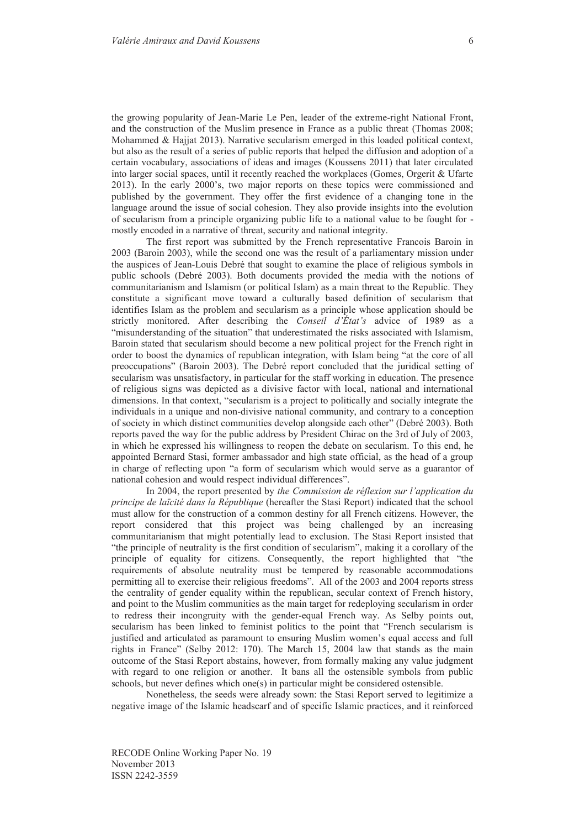the growing popularity of Jean-Marie Le Pen, leader of the extreme-right National Front, and the construction of the Muslim presence in France as a public threat (Thomas 2008; Mohammed & Hajjat 2013). Narrative secularism emerged in this loaded political context, but also as the result of a series of public reports that helped the diffusion and adoption of a certain vocabulary, associations of ideas and images (Koussens 2011) that later circulated into larger social spaces, until it recently reached the workplaces (Gomes, Orgerit & Ufarte 2013). In the early 2000's, two major reports on these topics were commissioned and published by the government. They offer the first evidence of a changing tone in the language around the issue of social cohesion. They also provide insights into the evolution of secularism from a principle organizing public life to a national value to be fought for mostly encoded in a narrative of threat, security and national integrity.

The first report was submitted by the French representative Francois Baroin in 2003 (Baroin 2003), while the second one was the result of a parliamentary mission under the auspices of Jean-Louis Debré that sought to examine the place of religious symbols in public schools (Debré 2003). Both documents provided the media with the notions of communitarianism and Islamism (or political Islam) as a main threat to the Republic. They constitute a significant move toward a culturally based definition of secularism that identifies Islam as the problem and secularism as a principle whose application should be strictly monitored. After describing the *Conseil d'État's* advice of 1989 as a "misunderstanding of the situation" that underestimated the risks associated with Islamism, Baroin stated that secularism should become a new political project for the French right in order to boost the dynamics of republican integration, with Islam being "at the core of all preoccupations" (Baroin 2003). The Debré report concluded that the juridical setting of secularism was unsatisfactory, in particular for the staff working in education. The presence of religious signs was depicted as a divisive factor with local, national and international dimensions. In that context, "secularism is a project to politically and socially integrate the individuals in a unique and non-divisive national community, and contrary to a conception of society in which distinct communities develop alongside each other" (Debré 2003). Both reports paved the way for the public address by President Chirac on the 3rd of July of 2003, in which he expressed his willingness to reopen the debate on secularism. To this end, he appointed Bernard Stasi, former ambassador and high state official, as the head of a group in charge of reflecting upon "a form of secularism which would serve as a guarantor of national cohesion and would respect individual differences".

In 2004, the report presented by *the Commission de réflexion sur l'application du principe de laïcité dans la République* (hereafter the Stasi Report) indicated that the school must allow for the construction of a common destiny for all French citizens. However, the report considered that this project was being challenged by an increasing communitarianism that might potentially lead to exclusion. The Stasi Report insisted that "the principle of neutrality is the first condition of secularism", making it a corollary of the principle of equality for citizens. Consequently, the report highlighted that "the requirements of absolute neutrality must be tempered by reasonable accommodations permitting all to exercise their religious freedoms". All of the 2003 and 2004 reports stress the centrality of gender equality within the republican, secular context of French history, and point to the Muslim communities as the main target for redeploying secularism in order to redress their incongruity with the gender-equal French way. As Selby points out, secularism has been linked to feminist politics to the point that "French secularism is justified and articulated as paramount to ensuring Muslim women's equal access and full rights in France" (Selby 2012: 170). The March 15, 2004 law that stands as the main outcome of the Stasi Report abstains, however, from formally making any value judgment with regard to one religion or another. It bans all the ostensible symbols from public schools, but never defines which one(s) in particular might be considered ostensible.

Nonetheless, the seeds were already sown: the Stasi Report served to legitimize a negative image of the Islamic headscarf and of specific Islamic practices, and it reinforced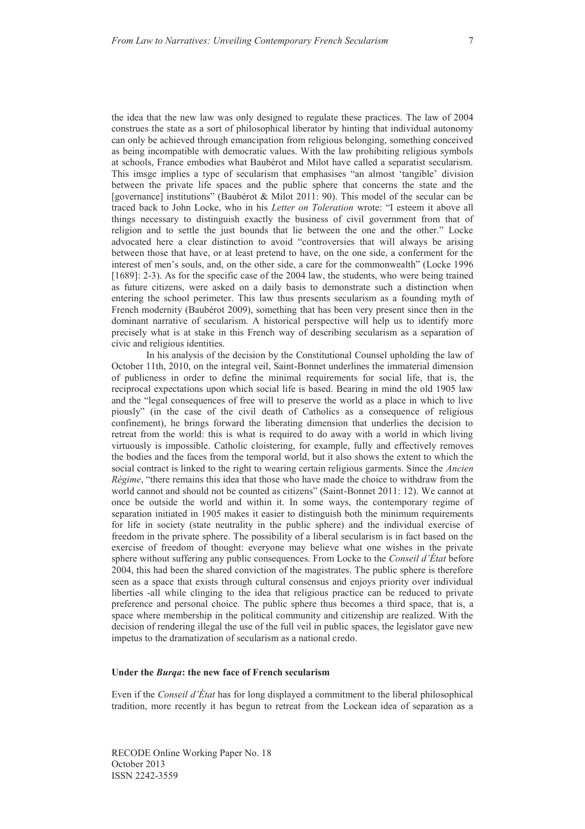the idea that the new law was only designed to regulate these practices. The law of 2004 construes the state as a sort of philosophical liberator by hinting that individual autonomy can only be achieved through emancipation from religious belonging, something conceived as being incompatible with democratic values. With the law prohibiting religious symbols at schools, France embodies what Baubérot and Milot have called a separatist secularism. This imsge implies a type of secularism that emphasises "an almost 'tangible' division between the private life spaces and the public sphere that concerns the state and the [governance] institutions" (Baubérot & Milot 2011: 90). This model of the secular can be traced back to John Locke, who in his *Letter on Toleration* wrote: "I esteem it above all things necessary to distinguish exactly the business of civil government from that of religion and to settle the just bounds that lie between the one and the other." Locke advocated here a clear distinction to avoid "controversies that will always be arising between those that have, or at least pretend to have, on the one side, a conferment for the interest of men's souls, and, on the other side, a care for the commonwealth" (Locke 1996 [1689]: 2-3). As for the specific case of the 2004 law, the students, who were being trained as future citizens, were asked on a daily basis to demonstrate such a distinction when entering the school perimeter. This law thus presents secularism as a founding myth of French modernity (Baubérot 2009), something that has been very present since then in the dominant narrative of secularism. A historical perspective will help us to identify more precisely what is at stake in this French way of describing secularism as a separation of civic and religious identities.

In his analysis of the decision by the Constitutional Counsel upholding the law of October 11th, 2010, on the integral veil, Saint-Bonnet underlines the immaterial dimension of publicness in order to define the minimal requirements for social life, that is, the reciprocal expectations upon which social life is based. Bearing in mind the old 1905 law and the "legal consequences of free will to preserve the world as a place in which to live piously" (in the case of the civil death of Catholics as a consequence of religious confinement), he brings forward the liberating dimension that underlies the decision to retreat from the world: this is what is required to do away with a world in which living virtuously is impossible. Catholic cloistering, for example, fully and effectively removes the bodies and the faces from the temporal world, but it also shows the extent to which the social contract is linked to the right to wearing certain religious garments. Since the *Ancien Régime*, "there remains this idea that those who have made the choice to withdraw from the world cannot and should not be counted as citizens" (Saint-Bonnet 2011: 12). We cannot at once be outside the world and within it. In some ways, the contemporary regime of separation initiated in 1905 makes it easier to distinguish both the minimum requirements for life in society (state neutrality in the public sphere) and the individual exercise of freedom in the private sphere. The possibility of a liberal secularism is in fact based on the exercise of freedom of thought: everyone may believe what one wishes in the private sphere without suffering any public consequences. From Locke to the *Conseil d'État* before 2004, this had been the shared conviction of the magistrates. The public sphere is therefore seen as a space that exists through cultural consensus and enjoys priority over individual liberties -all while clinging to the idea that religious practice can be reduced to private preference and personal choice. The public sphere thus becomes a third space, that is, a space where membership in the political community and citizenship are realized. With the decision of rendering illegal the use of the full veil in public spaces, the legislator gave new impetus to the dramatization of secularism as a national credo.

#### **Under the** *Burqa***: the new face of French secularism**

Even if the *Conseil d'État* has for long displayed a commitment to the liberal philosophical tradition, more recently it has begun to retreat from the Lockean idea of separation as a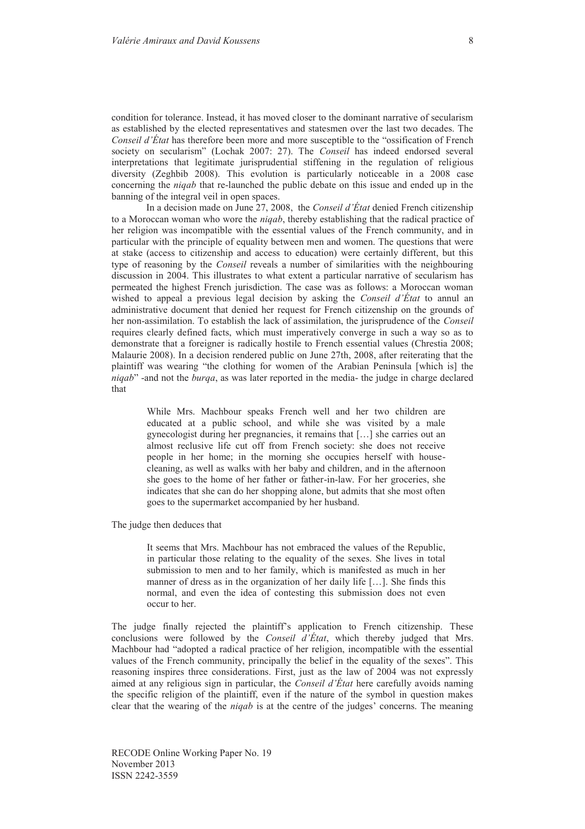condition for tolerance. Instead, it has moved closer to the dominant narrative of secularism as established by the elected representatives and statesmen over the last two decades. The *Conseil d'État* has therefore been more and more susceptible to the "ossification of French society on secularism" (Lochak 2007: 27). The *Conseil* has indeed endorsed several interpretations that legitimate jurisprudential stiffening in the regulation of religious diversity (Zeghbib 2008). This evolution is particularly noticeable in a 2008 case concerning the *niqab* that re-launched the public debate on this issue and ended up in the banning of the integral veil in open spaces.

In a decision made on June 27, 2008, the *Conseil d'État* denied French citizenship to a Moroccan woman who wore the *niqab*, thereby establishing that the radical practice of her religion was incompatible with the essential values of the French community, and in particular with the principle of equality between men and women. The questions that were at stake (access to citizenship and access to education) were certainly different, but this type of reasoning by the *Conseil* reveals a number of similarities with the neighbouring discussion in 2004. This illustrates to what extent a particular narrative of secularism has permeated the highest French jurisdiction. The case was as follows: a Moroccan woman wished to appeal a previous legal decision by asking the *Conseil d'État* to annul an administrative document that denied her request for French citizenship on the grounds of her non-assimilation. To establish the lack of assimilation, the jurisprudence of the *Conseil*  requires clearly defined facts, which must imperatively converge in such a way so as to demonstrate that a foreigner is radically hostile to French essential values (Chrestia 2008; Malaurie 2008). In a decision rendered public on June 27th, 2008, after reiterating that the plaintiff was wearing "the clothing for women of the Arabian Peninsula [which is] the *niqab*" -and not the *burqa*, as was later reported in the media- the judge in charge declared that

While Mrs. Machbour speaks French well and her two children are educated at a public school, and while she was visited by a male gynecologist during her pregnancies, it remains that […] she carries out an almost reclusive life cut off from French society: she does not receive people in her home; in the morning she occupies herself with housecleaning, as well as walks with her baby and children, and in the afternoon she goes to the home of her father or father-in-law. For her groceries, she indicates that she can do her shopping alone, but admits that she most often goes to the supermarket accompanied by her husband.

The judge then deduces that

It seems that Mrs. Machbour has not embraced the values of the Republic, in particular those relating to the equality of the sexes. She lives in total submission to men and to her family, which is manifested as much in her manner of dress as in the organization of her daily life […]. She finds this normal, and even the idea of contesting this submission does not even occur to her.

The judge finally rejected the plaintiff's application to French citizenship. These conclusions were followed by the *Conseil d'État*, which thereby judged that Mrs. Machbour had "adopted a radical practice of her religion, incompatible with the essential values of the French community, principally the belief in the equality of the sexes". This reasoning inspires three considerations. First, just as the law of 2004 was not expressly aimed at any religious sign in particular, the *Conseil d'État* here carefully avoids naming the specific religion of the plaintiff, even if the nature of the symbol in question makes clear that the wearing of the *niqab* is at the centre of the judges' concerns. The meaning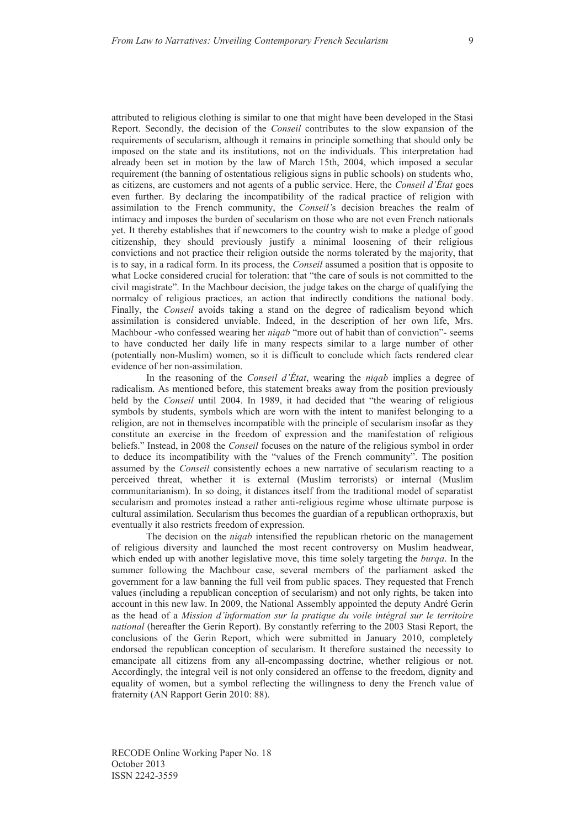attributed to religious clothing is similar to one that might have been developed in the Stasi Report. Secondly, the decision of the *Conseil* contributes to the slow expansion of the requirements of secularism, although it remains in principle something that should only be imposed on the state and its institutions, not on the individuals. This interpretation had already been set in motion by the law of March 15th, 2004, which imposed a secular requirement (the banning of ostentatious religious signs in public schools) on students who, as citizens, are customers and not agents of a public service. Here, the *Conseil d'État* goes even further. By declaring the incompatibility of the radical practice of religion with assimilation to the French community, the *Conseil'*s decision breaches the realm of intimacy and imposes the burden of secularism on those who are not even French nationals yet. It thereby establishes that if newcomers to the country wish to make a pledge of good citizenship, they should previously justify a minimal loosening of their religious convictions and not practice their religion outside the norms tolerated by the majority, that is to say, in a radical form. In its process, the *Conseil* assumed a position that is opposite to what Locke considered crucial for toleration: that "the care of souls is not committed to the civil magistrate". In the Machbour decision, the judge takes on the charge of qualifying the normalcy of religious practices, an action that indirectly conditions the national body. Finally, the *Conseil* avoids taking a stand on the degree of radicalism beyond which assimilation is considered unviable. Indeed, in the description of her own life, Mrs. Machbour -who confessed wearing her *niqab* "more out of habit than of conviction"- seems to have conducted her daily life in many respects similar to a large number of other (potentially non-Muslim) women, so it is difficult to conclude which facts rendered clear evidence of her non-assimilation.

In the reasoning of the *Conseil d'État*, wearing the *niqab* implies a degree of radicalism. As mentioned before, this statement breaks away from the position previously held by the *Conseil* until 2004. In 1989, it had decided that "the wearing of religious symbols by students, symbols which are worn with the intent to manifest belonging to a religion, are not in themselves incompatible with the principle of secularism insofar as they constitute an exercise in the freedom of expression and the manifestation of religious beliefs." Instead, in 2008 the *Conseil* focuses on the nature of the religious symbol in order to deduce its incompatibility with the "values of the French community". The position assumed by the *Conseil* consistently echoes a new narrative of secularism reacting to a perceived threat, whether it is external (Muslim terrorists) or internal (Muslim communitarianism). In so doing, it distances itself from the traditional model of separatist secularism and promotes instead a rather anti-religious regime whose ultimate purpose is cultural assimilation. Secularism thus becomes the guardian of a republican orthopraxis, but eventually it also restricts freedom of expression.

The decision on the *niqab* intensified the republican rhetoric on the management of religious diversity and launched the most recent controversy on Muslim headwear, which ended up with another legislative move, this time solely targeting the *burqa*. In the summer following the Machbour case, several members of the parliament asked the government for a law banning the full veil from public spaces. They requested that French values (including a republican conception of secularism) and not only rights, be taken into account in this new law. In 2009, the National Assembly appointed the deputy André Gerin as the head of a *Mission d'information sur la pratique du voile intégral sur le territoire national* (hereafter the Gerin Report). By constantly referring to the 2003 Stasi Report, the conclusions of the Gerin Report, which were submitted in January 2010, completely endorsed the republican conception of secularism. It therefore sustained the necessity to emancipate all citizens from any all-encompassing doctrine, whether religious or not. Accordingly, the integral veil is not only considered an offense to the freedom, dignity and equality of women, but a symbol reflecting the willingness to deny the French value of fraternity (AN Rapport Gerin 2010: 88).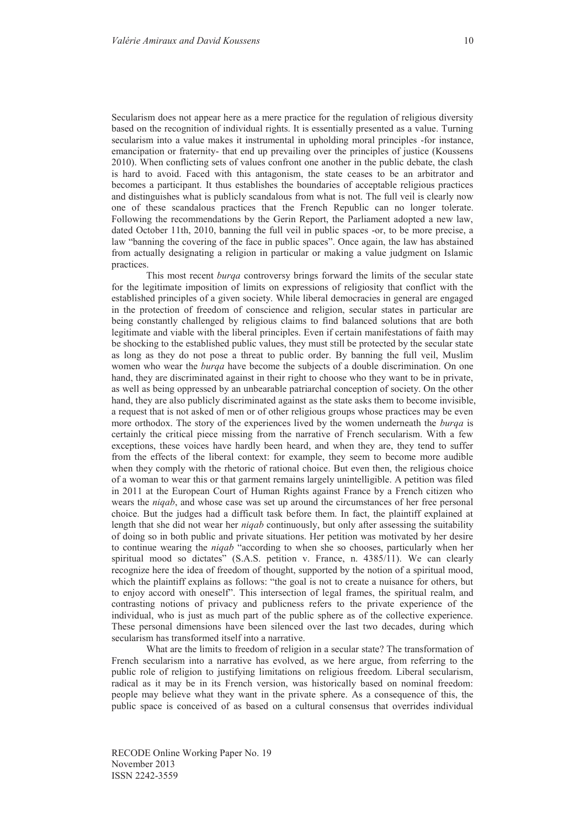Secularism does not appear here as a mere practice for the regulation of religious diversity based on the recognition of individual rights. It is essentially presented as a value. Turning secularism into a value makes it instrumental in upholding moral principles -for instance, emancipation or fraternity- that end up prevailing over the principles of justice (Koussens 2010). When conflicting sets of values confront one another in the public debate, the clash is hard to avoid. Faced with this antagonism, the state ceases to be an arbitrator and becomes a participant. It thus establishes the boundaries of acceptable religious practices and distinguishes what is publicly scandalous from what is not. The full veil is clearly now one of these scandalous practices that the French Republic can no longer tolerate. Following the recommendations by the Gerin Report, the Parliament adopted a new law, dated October 11th, 2010, banning the full veil in public spaces -or, to be more precise, a law "banning the covering of the face in public spaces". Once again, the law has abstained from actually designating a religion in particular or making a value judgment on Islamic practices.

This most recent *burqa* controversy brings forward the limits of the secular state for the legitimate imposition of limits on expressions of religiosity that conflict with the established principles of a given society. While liberal democracies in general are engaged in the protection of freedom of conscience and religion, secular states in particular are being constantly challenged by religious claims to find balanced solutions that are both legitimate and viable with the liberal principles. Even if certain manifestations of faith may be shocking to the established public values, they must still be protected by the secular state as long as they do not pose a threat to public order. By banning the full veil, Muslim women who wear the *burqa* have become the subjects of a double discrimination. On one hand, they are discriminated against in their right to choose who they want to be in private, as well as being oppressed by an unbearable patriarchal conception of society. On the other hand, they are also publicly discriminated against as the state asks them to become invisible, a request that is not asked of men or of other religious groups whose practices may be even more orthodox. The story of the experiences lived by the women underneath the *burqa* is certainly the critical piece missing from the narrative of French secularism. With a few exceptions, these voices have hardly been heard, and when they are, they tend to suffer from the effects of the liberal context: for example, they seem to become more audible when they comply with the rhetoric of rational choice. But even then, the religious choice of a woman to wear this or that garment remains largely unintelligible. A petition was filed in 2011 at the European Court of Human Rights against France by a French citizen who wears the *niqab*, and whose case was set up around the circumstances of her free personal choice. But the judges had a difficult task before them. In fact, the plaintiff explained at length that she did not wear her *niqab* continuously, but only after assessing the suitability of doing so in both public and private situations. Her petition was motivated by her desire to continue wearing the *niqab* "according to when she so chooses, particularly when her spiritual mood so dictates" (S.A.S. petition v. France, n. 4385/11). We can clearly recognize here the idea of freedom of thought, supported by the notion of a spiritual mood, which the plaintiff explains as follows: "the goal is not to create a nuisance for others, but to enjoy accord with oneself". This intersection of legal frames, the spiritual realm, and contrasting notions of privacy and publicness refers to the private experience of the individual, who is just as much part of the public sphere as of the collective experience. These personal dimensions have been silenced over the last two decades, during which secularism has transformed itself into a narrative.

What are the limits to freedom of religion in a secular state? The transformation of French secularism into a narrative has evolved, as we here argue, from referring to the public role of religion to justifying limitations on religious freedom. Liberal secularism, radical as it may be in its French version, was historically based on nominal freedom: people may believe what they want in the private sphere. As a consequence of this, the public space is conceived of as based on a cultural consensus that overrides individual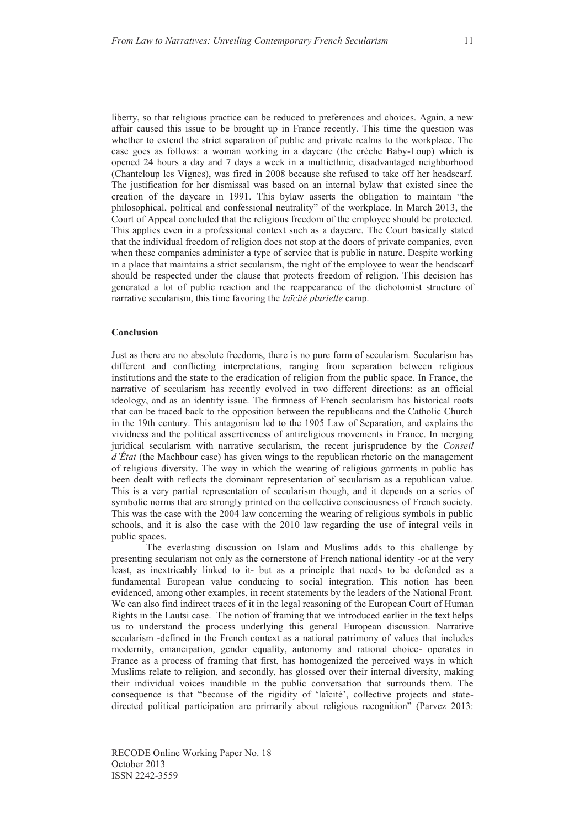liberty, so that religious practice can be reduced to preferences and choices. Again, a new affair caused this issue to be brought up in France recently. This time the question was whether to extend the strict separation of public and private realms to the workplace. The case goes as follows: a woman working in a daycare (the crèche Baby-Loup) which is opened 24 hours a day and 7 days a week in a multiethnic, disadvantaged neighborhood (Chanteloup les Vignes), was fired in 2008 because she refused to take off her headscarf. The justification for her dismissal was based on an internal bylaw that existed since the creation of the daycare in 1991. This bylaw asserts the obligation to maintain "the philosophical, political and confessional neutrality" of the workplace. In March 2013, the Court of Appeal concluded that the religious freedom of the employee should be protected. This applies even in a professional context such as a daycare. The Court basically stated that the individual freedom of religion does not stop at the doors of private companies, even when these companies administer a type of service that is public in nature. Despite working in a place that maintains a strict secularism, the right of the employee to wear the headscarf should be respected under the clause that protects freedom of religion. This decision has generated a lot of public reaction and the reappearance of the dichotomist structure of narrative secularism, this time favoring the *laïcité plurielle* camp.

#### **Conclusion**

Just as there are no absolute freedoms, there is no pure form of secularism. Secularism has different and conflicting interpretations, ranging from separation between religious institutions and the state to the eradication of religion from the public space. In France, the narrative of secularism has recently evolved in two different directions: as an official ideology, and as an identity issue. The firmness of French secularism has historical roots that can be traced back to the opposition between the republicans and the Catholic Church in the 19th century. This antagonism led to the 1905 Law of Separation, and explains the vividness and the political assertiveness of antireligious movements in France. In merging juridical secularism with narrative secularism, the recent jurisprudence by the *Conseil d'État* (the Machbour case) has given wings to the republican rhetoric on the management of religious diversity. The way in which the wearing of religious garments in public has been dealt with reflects the dominant representation of secularism as a republican value. This is a very partial representation of secularism though, and it depends on a series of symbolic norms that are strongly printed on the collective consciousness of French society. This was the case with the 2004 law concerning the wearing of religious symbols in public schools, and it is also the case with the 2010 law regarding the use of integral veils in public spaces.

The everlasting discussion on Islam and Muslims adds to this challenge by presenting secularism not only as the cornerstone of French national identity -or at the very least, as inextricably linked to it- but as a principle that needs to be defended as a fundamental European value conducing to social integration. This notion has been evidenced, among other examples, in recent statements by the leaders of the National Front. We can also find indirect traces of it in the legal reasoning of the European Court of Human Rights in the Lautsi case. The notion of framing that we introduced earlier in the text helps us to understand the process underlying this general European discussion. Narrative secularism -defined in the French context as a national patrimony of values that includes modernity, emancipation, gender equality, autonomy and rational choice- operates in France as a process of framing that first, has homogenized the perceived ways in which Muslims relate to religion, and secondly, has glossed over their internal diversity, making their individual voices inaudible in the public conversation that surrounds them. The consequence is that "because of the rigidity of 'laïcité', collective projects and statedirected political participation are primarily about religious recognition" (Parvez 2013: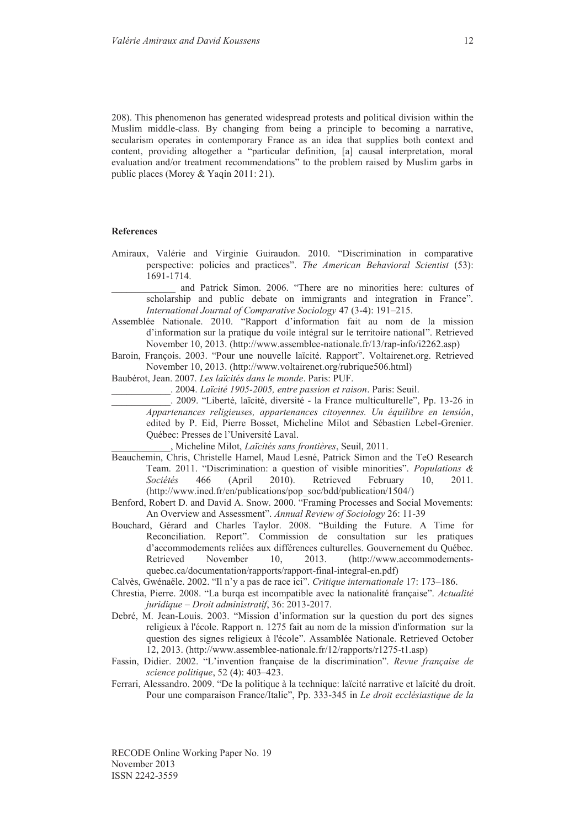208). This phenomenon has generated widespread protests and political division within the Muslim middle-class. By changing from being a principle to becoming a narrative, secularism operates in contemporary France as an idea that supplies both context and content, providing altogether a "particular definition, [a] causal interpretation, moral evaluation and/or treatment recommendations" to the problem raised by Muslim garbs in public places (Morey & Yaqin 2011: 21).

#### **References**

Amiraux, Valérie and Virginie Guiraudon. 2010. "Discrimination in comparative perspective: policies and practices". *The American Behavioral Scientist* (53): 1691-1714.

and Patrick Simon. 2006. "There are no minorities here: cultures of scholarship and public debate on immigrants and integration in France". *International Journal of Comparative Sociology* 47 (3-4): 191–215.

- Assemblée Nationale. 2010. "Rapport d'information fait au nom de la mission d'information sur la pratique du voile intégral sur le territoire national". Retrieved November 10, 2013. (http://www.assemblee-nationale.fr/13/rap-info/i2262.asp)
- Baroin, François. 2003. "Pour une nouvelle laïcité. Rapport". Voltairenet.org. Retrieved November 10, 2013. (http://www.voltairenet.org/rubrique506.html)

Baubérot, Jean. 2007. *Les laïcités dans le monde*. Paris: PUF.

\_\_\_\_\_\_\_\_\_\_\_\_. 2004. *Laïcité 1905-2005, entre passion et raison*. Paris: Seuil.

\_\_\_\_\_\_\_\_\_\_\_\_. 2009. "Liberté, laïcité, diversité - la France multiculturelle", Pp. 13-26 in *Appartenances religieuses, appartenances citoyennes. Un équilibre en tensión*, edited by P. Eid, Pierre Bosset, Micheline Milot and Sébastien Lebel-Grenier. Québec: Presses de l'Université Laval.

\_\_\_\_\_\_\_\_\_\_\_\_, Micheline Milot, *Laïcités sans frontières*, Seuil, 2011.

- Beauchemin, Chris, Christelle Hamel, Maud Lesné, Patrick Simon and the TeO Research Team. 2011. "Discrimination: a question of visible minorities". *Populations & Sociétés* 466 (April 2010). Retrieved February 10, 2011. (http://www.ined.fr/en/publications/pop\_soc/bdd/publication/1504/)
- Benford, Robert D. and David A. Snow. 2000. "Framing Processes and Social Movements: An Overview and Assessment". *Annual Review of Sociology* 26: 11-39
- Bouchard, Gérard and Charles Taylor. 2008. "Building the Future. A Time for Reconciliation. Report". Commission de consultation sur les pratiques d'accommodements reliées aux différences culturelles. Gouvernement du Québec.<br>Retrieved November 10. 2013. (http://www.accommodements-November 10, 2013. (http://www.accommodementsquebec.ca/documentation/rapports/rapport-final-integral-en.pdf)

Calvès, Gwénaële. 2002. "Il n'y a pas de race ici". *Critique internationale* 17: 173–186.

- Chrestia, Pierre. 2008. "La burqa est incompatible avec la nationalité française". *Actualité juridique – Droit administratif*, 36: 2013-2017.
- Debré, M. Jean-Louis. 2003. "Mission d'information sur la question du port des signes religieux à l'école. Rapport n. 1275 fait au nom de la mission d'information sur la question des signes religieux à l'école". Assamblée Nationale. Retrieved October 12, 2013. (http://www.assemblee-nationale.fr/12/rapports/r1275-t1.asp)
- Fassin, Didier. 2002. "L'invention française de la discrimination". *Revue française de science politique*, 52 (4): 403–423.
- Ferrari, Alessandro. 2009. "De la politique à la technique: laïcité narrative et laïcité du droit. Pour une comparaison France/Italie", Pp. 333-345 in *Le droit ecclésiastique de la*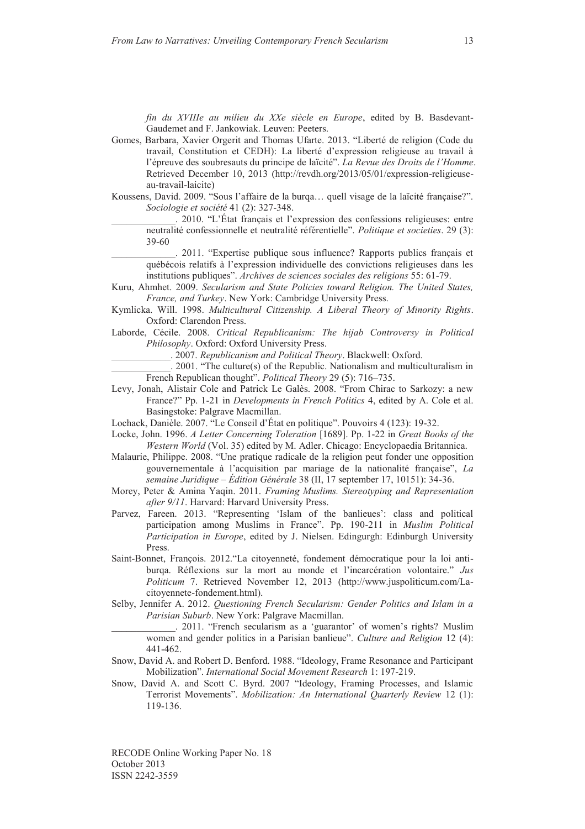*fin du XVIIIe au milieu du XXe siècle en Europe*, edited by B. Basdevant-Gaudemet and F. Jankowiak. Leuven: Peeters.

- Gomes, Barbara, Xavier Orgerit and Thomas Ufarte. 2013. "Liberté de religion (Code du travail, Constitution et CEDH): La liberté d'expression religieuse au travail à l'épreuve des soubresauts du principe de laïcité". *La Revue des Droits de l'Homme*. Retrieved December 10, 2013 (http://revdh.org/2013/05/01/expression-religieuseau-travail-laicite)
- Koussens, David. 2009. "Sous l'affaire de la burqa… quell visage de la laïcité française?". *Sociologie et société* 41 (2): 327-348.
	- \_\_\_\_\_\_\_\_\_\_\_\_\_. 2010. "L'État français et l'expression des confessions religieuses: entre neutralité confessionnelle et neutralité référentielle". *Politique et societies*. 29 (3): 39-60

\_\_\_\_\_\_\_\_\_\_\_\_\_. 2011. "Expertise publique sous influence? Rapports publics français et québécois relatifs à l'expression individuelle des convictions religieuses dans les institutions publiques". *Archives de sciences sociales des religions* 55: 61-79.

- Kuru, Ahmhet. 2009. *Secularism and State Policies toward Religion. The United States, France, and Turkey*. New York: Cambridge University Press.
- Kymlicka. Will. 1998. *Multicultural Citizenship. A Liberal Theory of Minority Rights*. Oxford: Clarendon Press.
- Laborde, Cécile. 2008. *Critical Republicanism: The hijab Controversy in Political Philosophy*. Oxford: Oxford University Press.

\_\_\_\_\_\_\_\_\_\_\_\_. 2007. *Republicanism and Political Theory*. Blackwell: Oxford.

\_\_\_\_\_\_\_\_\_\_\_\_. 2001. "The culture(s) of the Republic. Nationalism and multiculturalism in French Republican thought". *Political Theory* 29 (5): 716–735.

- Levy, Jonah, Alistair Cole and Patrick Le Galès. 2008. "From Chirac to Sarkozy: a new France?" Pp. 1-21 in *Developments in French Politics* 4, edited by A. Cole et al. Basingstoke: Palgrave Macmillan.
- Lochack, Danièle. 2007. "Le Conseil d'État en politique". Pouvoirs 4 (123): 19-32.

Locke, John. 1996. *A Letter Concerning Toleration* [1689]. Pp. 1-22 in *Great Books of the Western World* (Vol. 35) edited by M. Adler. Chicago: Encyclopaedia Britannica.

- Malaurie, Philippe. 2008. "Une pratique radicale de la religion peut fonder une opposition gouvernementale à l'acquisition par mariage de la nationalité française", *La semaine Juridique – Édition Générale* 38 (II, 17 september 17, 10151): 34-36.
- Morey, Peter & Amina Yaqin. 2011. *Framing Muslims. Stereotyping and Representation after 9/11*. Harvard: Harvard University Press.
- Parvez, Fareen. 2013. "Representing 'Islam of the banlieues': class and political participation among Muslims in France". Pp. 190-211 in *Muslim Political Participation in Europe*, edited by J. Nielsen. Edingurgh: Edinburgh University Press.
- Saint-Bonnet, François. 2012."La citoyenneté, fondement démocratique pour la loi antiburqa. Réflexions sur la mort au monde et l'incarcération volontaire." *Jus Politicum* 7. Retrieved November 12, 2013 (http://www.juspoliticum.com/Lacitoyennete-fondement.html).
- Selby, Jennifer A. 2012. *Questioning French Secularism: Gender Politics and Islam in a Parisian Suburb*. New York: Palgrave Macmillan.

\_\_\_\_\_\_\_\_\_\_\_\_\_. 2011. "French secularism as a 'guarantor' of women's rights? Muslim women and gender politics in a Parisian banlieue". *Culture and Religion* 12 (4): 441-462.

- Snow, David A. and Robert D. Benford. 1988. "Ideology, Frame Resonance and Participant Mobilization". *International Social Movement Research* 1: 197-219.
- Snow, David A. and Scott C. Byrd. 2007 "Ideology, Framing Processes, and Islamic Terrorist Movements". *Mobilization: An International Quarterly Review* 12 (1): 119-136.